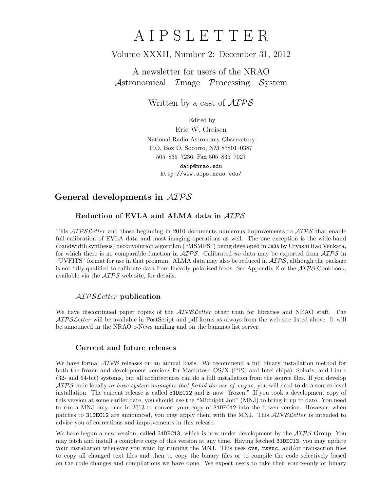# A I P S L E T T E R

# Volume XXXII, Number 2: December 31, 2012

A newsletter for users of the NRAO Astronomical Image Processing System

Written by a cast of  $\mathcal{AIPS}$ 

Edited by

Eric W. Greisen National Radio Astronomy Observatory P.O. Box O, Socorro, NM 87801–0387 505–835–7236; Fax 505–835–7027

daip@nrao.edu http://www.aips.nrao.edu/

# General developments in AIPS

## Reduction of EVLA and ALMA data in AIPS

This *AIPS Letter* and those beginning in 2010 documents numerous improvements to *AIPS* that enable full calibration of EVLA data and most imaging operations as well. The one exception is the wide-band (bandwidth synthesis) deconvolution algorithm ("MSMFS") being developed in CASA by Urvashi Rao Venkata, for which there is no comparable function in  $\mathcal{AIPS}$ . Calibrated uv data may be exported from  $\mathcal{AIPS}$  in "UVFITS" format for use in that program. ALMA data may also be reduced in  $\mathcal{AIPS}$ , although the package is not fully qualified to calibrate data from linearly-polarized feeds. See Appendix E of the  $\mathcal{AIPS}$  Cookbook, available via the AIPS web site, for details.

## AIPSLetter publication

We have discontinued paper copies of the  $ATPSLetter$  other than for libraries and NRAO staff. The AIPS Letter will be available in PostScript and pdf forms as always from the web site listed above. It will be announced in the NRAO e-News mailing and on the bananas list server.

### Current and future releases

We have formal  $\mathcal{AIPS}$  releases on an annual basis. We recommend a full binary installation method for both the frozen and development versions for MacIntosh OS/X (PPC and Intel chips), Solaris, and Linux (32- and 64-bit) systems, but all architectures can do a full installation from the source files. If you develop  $ATPS$  code locally or have system managers that forbid the use of rsync, you will need to do a source-level installation. The current release is called 31DEC12 and is now "frozen." If you took a development copy of this version at some earlier date, you should use the "Midnight Job" (MNJ) to bring it up to date. You need to run a MNJ only once in 2013 to convert your copy of 31DEC12 into the frozen version. However, when patches to 31DEC12 are announced, you may apply them with the MNJ. This  $\mathcal{AIPSL}$ etter is intended to advise you of corrections and improvements in this release.

We have begun a new version, called 31DEC13, which is now under development by the  $\mathcal{AIPS}$  Group. You may fetch and install a complete copy of this version at any time. Having fetched 31DEC13, you may update your installation whenever you want by running the MNJ. This uses cvs, rsync, and/or transaction files to copy all changed text files and then to copy the binary files or to compile the code selectively based on the code changes and compilations we have done. We expect users to take their source-only or binary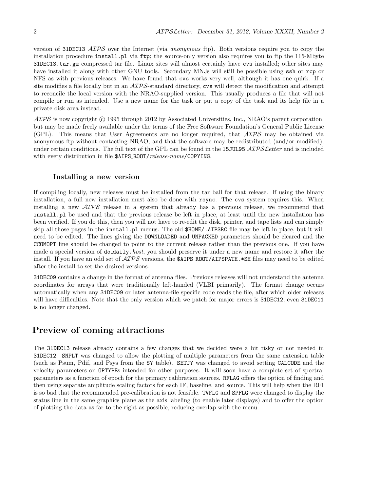version of 31DEC13 ATPS over the Internet (via anonymous ftp). Both versions require you to copy the installation procedure install.pl via ftp; the source-only version also requires you to ftp the 115-Mbyte 31DEC13.tar.gz compressed tar file. Linux sites will almost certainly have cvs installed; other sites may have installed it along with other GNU tools. Secondary MNJs will still be possible using ssh or rcp or NFS as with previous releases. We have found that cvs works very well, although it has one quirk. If a site modifies a file locally but in an  $\mathcal{AIPS}$ -standard directory, cvs will detect the modification and attempt to reconcile the local version with the NRAO-supplied version. This usually produces a file that will not compile or run as intended. Use a new name for the task or put a copy of the task and its help file in a private disk area instead.

 $ATPS$  is now copyright  $\odot$  1995 through 2012 by Associated Universities, Inc., NRAO's parent corporation, but may be made freely available under the terms of the Free Software Foundation's General Public License (GPL). This means that User Agreements are no longer required, that AIPS may be obtained via anonymous ftp without contacting NRAO, and that the software may be redistributed (and/or modified), under certain conditions. The full text of the GPL can be found in the 15JUL95  $\mathcal{AIPS}\mathcal{L}etter$  and is included with every distribution in file \$AIPS ROOT/release-name/COPYING.

#### Installing a new version

If compiling locally, new releases must be installed from the tar ball for that release. If using the binary installation, a full new installation must also be done with rsync. The cvs system requires this. When installing a new AIPS release in a system that already has a previous release, we recommend that install.pl be used and that the previous release be left in place, at least until the new installation has been verified. If you do this, then you will not have to re-edit the disk, printer, and tape lists and can simply skip all those pages in the install.pl menus. The old \$HOME/.AIPSRC file may be left in place, but it will need to be edited. The lines giving the DOWNLOADED and UNPACKED parameters should be cleared and the CCOMOPT line should be changed to point to the current release rather than the previous one. If you have made a special version of do-daily.*host*, you should preserve it under a new name and restore it after the install. If you have an odd set of  $\mathcal{AIPS}$  versions, the \$AIPS ROOT/AIPSPATH. \*SH files may need to be edited after the install to set the desired versions.

31DEC09 contains a change in the format of antenna files. Previous releases will not understand the antenna coordinates for arrays that were traditionally left-handed (VLBI primarily). The format change occurs automatically when any 31DEC09 or later antenna-file specific code reads the file, after which older releases will have difficulties. Note that the only version which we patch for major errors is 31DEC12; even 31DEC11 is no longer changed.

## Preview of coming attractions

The 31DEC13 release already contains a few changes that we decided were a bit risky or not needed in 31DEC12. SNPLT was changed to allow the plotting of multiple parameters from the same extension table (such as Psum, Pdif, and Psys from the SY table). SETJY was changed to avoid setting CALCODE and the velocity parameters on OPTYPEs intended for other purposes. It will soon have a complete set of spectral parameters as a function of epoch for the primary calibration sources. RFLAG offers the option of finding and then using separate amplitude scaling factors for each IF, baseline, and source. This will help when the RFI is so bad that the recommended pre-calibration is not feasible. TVFLG and SPFLG were changed to display the status line in the same graphics plane as the axis labeling (to enable later displays) and to offer the option of plotting the data as far to the right as possible, reducing overlap with the menu.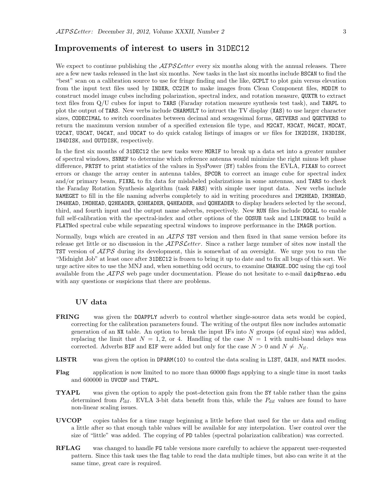## Improvements of interest to users in 31DEC12

We expect to continue publishing the  $ATPSLetter$  every six months along with the annual releases. There are a few new tasks released in the last six months. New tasks in the last six months include BSCAN to find the "best" scan on a calibration source to use for fringe finding and the like, GCPLT to plot gain versus elevation from the input text files used by INDXR, CC2IM to make images from Clean Component files, MODIM to construct model image cubes including polarization, spectral index, and rotation measure, QUXTR to extract text files from Q/U cubes for input to TARS (Faraday rotation measure synthesis test task), and TARPL to plot the output of TARS. New verbs include CHARMULT to intruct the TV display (XAS) to use larger character sizes, CODECIMAL to switch coordinates between decimal and sexagesimal forms, GETVERS and QGETVERS to return the maximum version number of a specified extension file type, and M2CAT, M3CAT, M4CAT, MOCAT, U2CAT, U3CAT, U4CAT, and U0CAT to do quick catalog listings of images or  $uv$  files for IN2DISK, IN3DISK, IN4DISK, and OUTDISK, respectively.

In the first six months of 31DEC12 the new tasks were MORIF to break up a data set into a greater number of spectral windows, SNREF to determine which reference antenna would minimize the right minus left phase difference, PRTSY to print statistics of the values in SysPower (SY) tables from the EVLA, FIXAN to correct errors or change the array center in antenna tables, SPCOR to correct an image cube for spectral index and/or primary beam, FIXRL to fix data for mislabeled polarizations in some antennas, and TARS to check the Faraday Rotation Synthesis algorithm (task FARS) with simple user input data. New verbs include NAMEGET to fill in the file naming adverbs completely to aid in writing procedures and IM2HEAD, IM3HEAD, IM4HEAD, IMOHEAD, Q2HEADER, Q3HEADER, Q4HEADER, and QOHEADER to display headers selected by the second, third, and fourth input and the output name adverbs, respectively. New RUN files include OOCAL to enable full self-calibration with the spectral-index and other options of the OOSUB task and LINIMAGE to build a FLATNed spectral cube while separating spectral windows to improve performance in the IMAGR portion.

Normally, bugs which are created in an  $\mathcal{AIPS}$  TST version and then fixed in that same version before its release get little or no discussion in the  $\mathcal{AIPS}\mathcal{L}etter$ . Since a rather large number of sites now install the TST version of  $\mathcal{AIPS}$  during its development, this is somewhat of an oversight. We urge you to run the "Midnight Job" at least once after 31DEC12 is frozen to bring it up to date and to fix all bugs of this sort. We urge active sites to use the MNJ and, when something odd occurs, to examine CHANGE.DOC using the cgi tool available from the  $AIPS$  web page under documentation. Please do not hesitate to e-mail daip@nrao.edu with any questions or suspicions that there are problems.

## UV data

- FRING was given the DOAPPLY adverb to control whether single-source data sets would be copied, correcting for the calibration parameters found. The writing of the output files now includes automatic generation of an NX table. An option to break the input IFs into N groups (of equal size) was added, replacing the limit that  $N = 1, 2,$  or 4. Handling of the case  $N = 1$  with multi-band delays was corrected. Adverbs BIF and EIF were added but only for the case  $N > 0$  and  $N \neq N_{\text{if}}$ .
- LISTR was given the option in DPARM(10) to control the data scaling in LIST, GAIN, and MATX modes.
- Flag application is now limited to no more than 60000 flags applying to a single time in most tasks and 600000 in UVCOP and TYAPL.
- **TYAPL** was given the option to apply the post-detection gain from the SY table rather than the gains determined from  $P_{\text{dif}}$ . EVLA 3-bit data benefit from this, while the  $P_{\text{dif}}$  values are found to have non-linear scaling issues.
- **UVCOP** copies tables for a time range beginning a little before that used for the uv data and ending a little after so that enough table values will be available for any interpolation. User control over the size of "little" was added. The copying of PD tables (spectral polarization calibration) was corrected.
- RFLAG was changed to handle FG table versions more carefully to achieve the apparent user-requested pattern. Since this task uses the flag table to read the data multiple times, but also can write it at the same time, great care is required.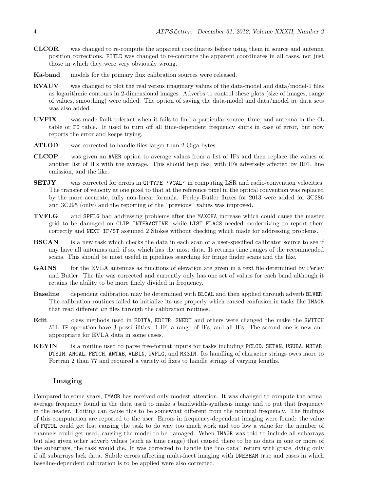- CLCOR was changed to re-compute the apparent coordinates before using them in source and antenna position corrections. FITLD was changed to re-compute the apparent coordinates in all cases, not just those in which they were very obviously wrong.
- Ka-band models for the primary flux calibration sources were released.
- EVAUV was changed to plot the real versus imaginary values of the data-model and data/model-1 files as logarithmic contours in 2-dimensional images. Adverbs to control these plots (size of images, range of values, smoothing) were added. The option of saving the data-model and data/model uv data sets was also added.
- UVFIX was made fault tolerant when it fails to find a particular source, time, and antenna in the CL table or FO table. It used to turn off all time-dependent frequency shifts in case of error, but now reports the error and keeps trying.
- ATLOD was corrected to handle files larger than 2 Giga-bytes.
- CLCOP was given an AVER option to average values from a list of IFs and then replace the values of another list of IFs with the average. This should help deal with IFs adversely affected by RFI, line emission, and the like.
- SETJY was corrected for errors in OPTYPE 'VCAL' in computing LSR and radio-convention velocities. The transfer of velocity at one pixel to that at the reference pixel in the optical convention was replaced by the more accurate, fully non-linear formula. Perley-Butler fluxes for 2013 were added for 3C286 and 3C295 (only) and the reporting of the "previous" values was improved.
- TVFLG and SPFLG had addressing problems after the MAXCHA increase which could cause the master grid to be damaged on CLIP INTERACTIVE, while LIST FLAGS needed modernizing to report them correctly and NEXT IF/ST assumed 2 Stokes without checking which made for addressing problems.
- BSCAN is a new task which checks the data in each scan of a user-specified calibrator source to see if any have all antennas and, if so, which has the most data. It returns time ranges of the recommended scans. This should be most useful in pipelines searching for fringe finder scans and the like.
- **GAINS** for the EVLA antennas as functions of elevation are given in a text file determined by Perley and Butler. The file was corrected and currently only has one set of values for each band although it retains the ability to be more finely divided in frequency.
- Baseline dependent calibration may be determined with BLCAL and then applied through adverb BLVER. The calibration routines failed to initialize its use properly which caused confusion in tasks like IMAGR that read different uv files through the calibration routines.
- Edit class methods used in EDITA, EDITR, SNEDT and others were changed the make the SWITCH ALL IF operation have 3 possibilities: 1 IF, a range of IFs, and all IFs. The second one is new and appropriate for EVLA data in some cases.
- KEYIN is a routine used to parse free-format inputs for tasks including PCLOD, SETAN, USUBA, M3TAR, DTSIM, ANCAL, FETCH, ANTAB, VLBIN, UVFLG, and MK3IN. Its handling of character strings owes more to Fortran 2 than 77 and required a variety of fixes to handle strings of varying lengths.

#### Imaging

Compared to some years, IMAGR has received only modest attention. It was changed to compute the actual average frequency found in the data used to make a bandwidth-synthesis image and to put that frequency in the header. Editing can cause this to be somewhat different from the nominal frequency. The findings of this computation are reported to the user. Errors in frequency-dependent imaging were found: the value of FQTOL could get lost causing the task to do way too much work and too low a value for the number of channels could get used, causing the model to be damaged. When IMAGR was told to include all subarrays but also given other adverb values (such as time range) that caused there to be no data in one or more of the subarrays, the task would die. It was corrected to handle the "no data" return with grace, dying only if all subarrays lack data. Subtle errors affecting multi-facet imaging with ONEBEAM true and cases in which baseline-dependent calibration is to be applied were also corrected.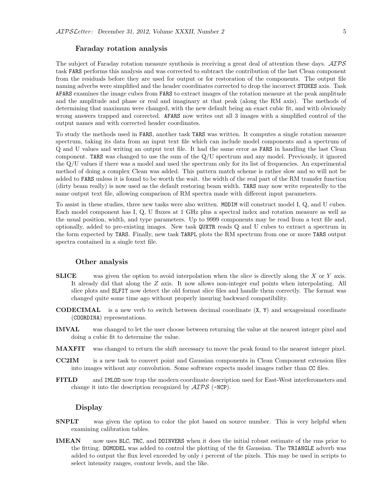#### Faraday rotation analysis

The subject of Faraday rotation measure synthesis is receiving a great deal of attention these days.  $\mathcal{AIPS}$ task FARS performs this analysis and was corrected to subtract the contribution of the last Clean component from the residuals before they are used for output or for restoration of the components. The output file naming adverbs were simplified and the header coordinates corrected to drop the incorrect STOKES axis. Task AFARS examines the image cubes from FARS to extract images of the rotation measure at the peak amplitude and the amplitude and phase or real and imaginary at that peak (along the RM axis). The methods of determining that maximum were changed, with the new default being an exact cubic fit, and with obviously wrong answers trapped and corrected. AFARS now writes out all 3 images with a simplified control of the output names and with corrected header coordinates.

To study the methods used in FARS, another task TARS was written. It computes a single rotation measure spectrum, taking its data from an input text file which can include model components and a spectrum of Q and U values and writing an output text file. It had the same error as FARS in handling the last Clean component. TARS was changed to use the sum of the Q/U spectrum and any model. Previously, it ignored the Q/U values if there was a model and used the spectrum only for its list of frequencies. An experimental method of doing a complex Clean was added. This pattern match scheme is rather slow and so will not be added to FARS unless it is found to be worth the wait. the width of the real part of the RM transfer function (dirty beam really) is now used as the default restoring beam width. TARS may now write repeatedly to the same output text file, allowing comparison of RM spectra made with different input parameters.

To assist in these studies, three new tasks were also written. MODIM will construct model I, Q, and U cubes. Each model component has I, Q, U fluxes at 1 GHz plus a spectral index and rotation measure as well as the usual position, width, and type parameters. Up to 9999 components may be read from a text file and, optionally, added to pre-existing images. New task QUXTR reads Q and U cubes to extract a spectrum in the form expected by TARS. Finally, new task TARPL plots the RM spectrum from one or more TARS output spectra contained in a single text file.

#### Other analysis

- **SLICE** was given the option to avoid interpolation when the slice is directly along the X or Y axis. It already did that along the Z axis. It now allows non-integer end points when interpolating. All slice plots and SLFIT now detect the old format slice files and handle them correctly. The format was changed quite some time ago without properly insuring backward compatibility.
- CODECIMAL is a new verb to switch between decimal coordinate (X, Y) and sexagesimal coordinate (COORDINA) representations.
- IMVAL was changed to let the user choose between returning the value at the nearest integer pixel and doing a cubic fit to determine the value.
- MAXFIT was changed to return the shift necessary to move the peak found to the nearest integer pixel.
- CC2IM is a new task to convert point and Gaussian components in Clean Component extension files into images without any convolution. Some software expects model images rather than CC files.
- FITLD and IMLOD now trap the modern coordinate description used for East-West interferometers and change it into the description recognized by  $\mathcal{AIPS}$  (-NCP).

#### Display

- SNPLT was given the option to color the plot based on source number. This is very helpful when examining calibration tables.
- **IMEAN** now uses BLC, TRC, and DOINVERS when it does the initial robust estimate of the rms prior to the fitting. DOMODEL was added to control the plotting of the fit Gaussian. The TRIANGLE adverb was added to output the flux level exceeded by only i percent of the pixels. This may be used in scripts to select intensity ranges, contour levels, and the like.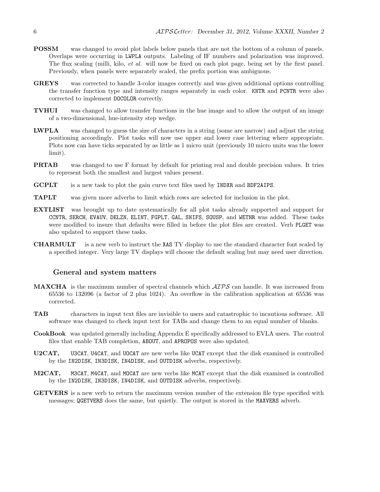- POSSM was changed to avoid plot labels below panels that are not the bottom of a column of panels. Overlaps were occurring in LWPLA outputs. Labeling of IF numbers and polarization was improved. The flux scaling (milli, kilo, *et al.* will now be fixed on each plot page, being set by the first panel. Previously, when panels were separately scaled, the prefix portion was ambiguous.
- GREYS was corrected to handle 3-color images correctly and was given additional options controlling the transfer function type and intensity ranges separately in each color. KNTR and PCNTR were also corrected to implement DOCOLOR correctly.
- TVHUI was changed to allow transfer functions in the hue image and to allow the output of an image of a two-dimensional, hue-intensity step wedge.
- LWPLA was changed to guess the size of characters in a string (some are narrow) and adjust the string positioning accordingly. Plot tasks will now use upper and lower case lettering where appropriate. Plots now can have ticks separated by as little as 1 micro unit (previously 10 micro units was the lower limit).
- PRTAB was changed to use F format by default for printing real and double precision values. It tries to represent both the smallest and largest values present.
- GCPLT is a new task to plot the gain curve text files used by INDXR and BDF2AIPS.
- TAPLT was given more adverbs to limit which rows are selected for inclusion in the plot.
- EXTLIST was brought up to date systematically for all plot tasks already supported and support for CCNTR, SERCH, EVAUV, DELZN, ELINT, FGPLT, GAL, SNIFS, SOUSP, and WETHR was added. These tasks were modified to insure that defaults were filled in before the plot files are created. Verb PLGET was also updated to support these tasks.
- CHARMULT is a new verb to instruct the XAS TV display to use the standard character font scaled by a specified integer. Very large TV displays will choose the default scaling but may need user direction.

#### General and system matters

- **MAXCHA** is the maximum number of spectral channels which  $\mathcal{AIPS}$  can handle. It was increased from 65536 to 132096 (a factor of 2 plus 1024). An overflow in the calibration application at 65536 was corrected.
- TAB characters in input text files are invisible to users and catastrophic to incautious software. All software was changed to check input text for TABs and change them to an equal number of blanks.
- CookBook was updated generally including Appendix E specifically addressed to EVLA users. The control files that enable TAB completion, ABOUT, and APROPOS were also updated.
- U2CAT, U3CAT, U4CAT, and UOCAT are new verbs like UCAT except that the disk examined is controlled by the IN2DISK, IN3DISK, IN4DISK, and OUTDISK adverbs, respectively.
- M2CAT, M3CAT, M4CAT, and MOCAT are new verbs like MCAT except that the disk examined is controlled by the IN2DISK, IN3DISK, IN4DISK, and OUTDISK adverbs, respectively.
- GETVERS is a new verb to return the maximum version number of the extension file type specified with messages; QGETVERS does the same, but quietly. The output is stored in the MAXVERS adverb.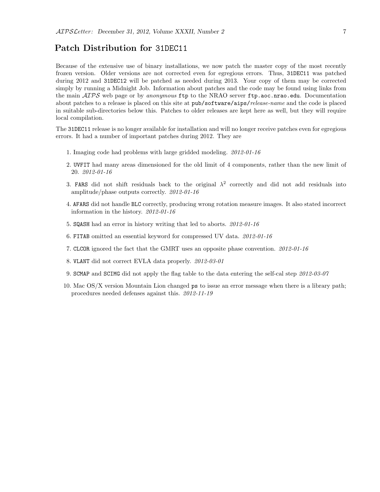## Patch Distribution for 31DEC11

Because of the extensive use of binary installations, we now patch the master copy of the most recently frozen version. Older versions are not corrected even for egregious errors. Thus, 31DEC11 was patched during 2012 and 31DEC12 will be patched as needed during 2013. Your copy of them may be corrected simply by running a Midnight Job. Information about patches and the code may be found using links from the main  $ATPS$  web page or by anonymous ftp to the NRAO server ftp.aoc.nrao.edu. Documentation about patches to a release is placed on this site at pub/software/aips/release-name and the code is placed in suitable sub-directories below this. Patches to older releases are kept here as well, but they will require local compilation.

The 31DEC11 release is no longer available for installation and will no longer receive patches even for egregious errors. It had a number of important patches during 2012. They are

- 1. Imaging code had problems with large gridded modeling. 2012-01-16
- 2. UVFIT had many areas dimensioned for the old limit of 4 components, rather than the new limit of 20. 2012-01-16
- 3. FARS did not shift residuals back to the original  $\lambda^2$  correctly and did not add residuals into amplitude/phase outputs correctly. 2012-01-16
- 4. AFARS did not handle BLC correctly, producing wrong rotation measure images. It also stated incorrect information in the history. 2012-01-16
- 5. SQASH had an error in history writing that led to aborts. 2012-01-16
- 6. FITAB omitted an essential keyword for compressed UV data. 2012-01-16
- 7. CLCOR ignored the fact that the GMRT uses an opposite phase convention. 2012-01-16
- 8. VLANT did not correct EVLA data properly. 2012-03-01
- 9. SCMAP and SCIMG did not apply the flag table to the data entering the self-cal step 2012-03-07
- 10. Mac OS/X version Mountain Lion changed ps to issue an error message when there is a library path; procedures needed defenses against this. 2012-11-19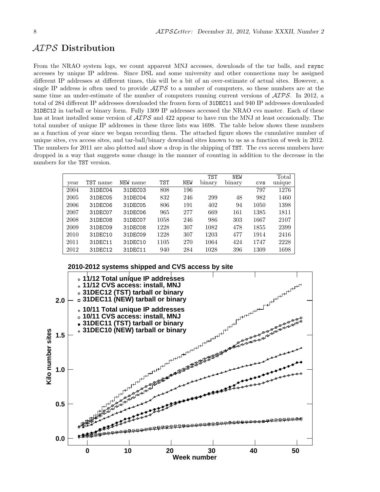# AIPS Distribution

From the NRAO system logs, we count apparent MNJ accesses, downloads of the tar balls, and rsync accesses by unique IP address. Since DSL and some university and other connections may be assigned different IP addresses at different times, this will be a bit of an over-estimate of actual sites. However, a single IP address is often used to provide  $\mathcal{AIPS}$  to a number of computers, so these numbers are at the same time an under-estimate of the number of computers running current versions of  $\mathcal{AIPS}$ . In 2012, a total of 284 different IP addresses downloaded the frozen form of 31DEC11 and 940 IP addresses downloaded 31DEC12 in tarball or binary form. Fully 1309 IP addresses accessed the NRAO cvs master. Each of these has at least installed some version of  $\mathcal{AIPS}$  and 422 appear to have run the MNJ at least occasionally. The total number of unique IP addresses in these three lists was 1698. The table below shows these numbers as a function of year since we began recording them. The attached figure shows the cumulative number of unique sites, cvs access sites, and tar-ball/binary download sites known to us as a function of week in 2012. The numbers for 2011 are also plotted and show a drop in the shipping of TST. The cvs access numbers have dropped in a way that suggests some change in the manner of counting in addition to the decrease in the numbers for the TST version.

|      |          |          |            |            | <b>TST</b> | <b>NEW</b> |            | Total  |
|------|----------|----------|------------|------------|------------|------------|------------|--------|
| vear | TST name | NEW name | <b>TST</b> | <b>NEW</b> | binary     | binary     | <b>CVS</b> | unique |
| 2004 | 31DEC04  | 31DEC03  | 808        | 196        |            |            | 797        | 1276   |
| 2005 | 31DEC05  | 31DEC04  | 832        | 246        | 299        | 48         | 982        | 1460   |
| 2006 | 31DEC06  | 31DEC05  | 806        | 191        | 402        | 94         | 1050       | 1398   |
| 2007 | 31DEC07  | 31DEC06  | 965        | 277        | 669        | 161        | 1385       | 1811   |
| 2008 | 31DEC08  | 31DEC07  | 1058       | 246        | 986        | 303        | 1667       | 2107   |
| 2009 | 31DEC09  | 31DEC08  | 1228       | 307        | 1082       | 478        | 1855       | 2399   |
| 2010 | 31DEC10  | 31DEC09  | 1228       | 307        | 1203       | 477        | 1914       | 2416   |
| 2011 | 31DEC11  | 31DEC10  | 1105       | 270        | 1064       | 424        | 1747       | 2228   |
| 2012 | 31DEC12  | 31DEC11  | 940        | 284        | 1028       | 396        | 1309       | 1698   |



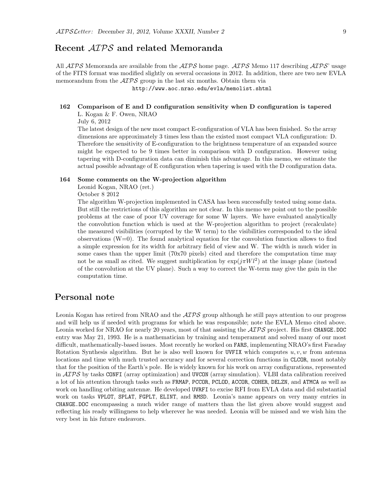# Recent AIPS and related Memoranda

All  $ATPS$  Memoranda are available from the  $ATPS$  home page.  $ATPS$  Memo 117 describing  $ATPS$  usage of the FITS format was modified slightly on several occasions in 2012. In addition, there are two new EVLA memorandum from the  $\mathcal{AIPS}$  group in the last six months. Obtain them via

http://www.aoc.nrao.edu/evla/memolist.shtml

#### 162 Comparison of E and D configuration sensitivity when D configuration is tapered L. Kogan & F. Owen, NRAO

July 6, 2012

The latest design of the new most compact E-configuration of VLA has been finished. So the array dimensions are approximately 3 times less than the existed most compact VLA configuration: D. Therefore the sensitivity of E-configuration to the brightness temperature of an expanded source might be expected to be 9 times better in comparison with D configuration. However using tapering with D-configuration data can diminish this advantage. In this memo, we estimate the actual possible advantage of E configuration when tapering is used with the D configuration data.

#### 164 Some comments on the W-projection algorithm

Leonid Kogan, NRAO (ret.)

October 8 2012

The algorithm W-projection implemented in CASA has been successfully tested using some data. But still the restrictions of this algorithm are not clear. In this memo we point out to the possible problems at the case of poor UV coverage for some W layers. We have evaluated analytically the convolution function which is used at the W-projection algorithm to project (recalculate) the measured visibilities (corrupted by the W term) to the visibilities corresponded to the ideal observations  $(W=0)$ . The found analytical equation for the convolution function allows to find a simple expression for its width for arbitrary field of view and W. The width is much wider in some cases than the upper limit (70x70 pixels) cited and therefore the computation time may not be as small as cited. We suggest multiplication by  $\exp(j\pi Wl^2)$  at the image plane (instead of the convolution at the UV plane). Such a way to correct the W-term may give the gain in the computation time.

# Personal note

Leonia Kogan has retired from NRAO and the  $\mathcal{AIPS}$  group although he still pays attention to our progress and will help us if needed with programs for which he was responsible; note the EVLA Memo cited above. Leonia worked for NRAO for nearly 20 years, most of that assisting the  $\mathcal{ATPS}$  project. His first CHANGE.DOC entry was May 21, 1993. He is a mathematician by training and temperament and solved many of our most difficult, mathematically-based issues. Most recently he worked on FARS, implementing NRAO's first Faraday Rotation Synthesis algorithm. But he is also well known for UVFIX which computes  $u, v, w$  from antenna locations and time with much trusted accuracy and for several correction functions in CLCOR, most notably that for the position of the Earth's pole. He is widely known for his work on array configurations, represented in  $\mathcal{AIPS}$  by tasks CONFI (array optimization) and UVCON (array simulation). VLBI data calibration received a lot of his attention through tasks such as FRMAP, PCCOR, PCLOD, ACCOR, COHER, DELZN, and ATMCA as well as work on handling orbiting antennæ. He developed UVRFI to excise RFI from EVLA data and did substantial work on tasks VPLOT, SPLAT, FGPLT, ELINT, and RMSD. Leonia's name appears on very many entries in CHANGE.DOC encompassing a much wider range of matters than the list given above would suggest and reflecting his ready willingness to help wherever he was needed. Leonia will be missed and we wish him the very best in his future endeavors.